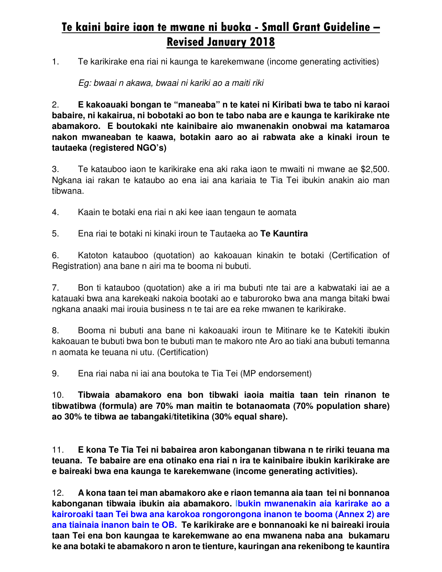# **Te kaini baire iaon te mwane ni buoka - Small Grant Guideline – Revised January 2018**

1. Te karikirake ena riai ni kaunga te karekemwane (income generating activities)

Eg: bwaai n akawa, bwaai ni kariki ao a maiti riki

2. **E kakoauaki bongan te "maneaba" n te katei ni Kiribati bwa te tabo ni karaoi babaire, ni kakairua, ni bobotaki ao bon te tabo naba are e kaunga te karikirake nte abamakoro. E boutokaki nte kainibaire aio mwanenakin onobwai ma katamaroa nakon mwaneaban te kaawa, botakin aaro ao ai rabwata ake a kinaki iroun te tautaeka (registered NGO's)** 

3. Te katauboo iaon te karikirake ena aki raka iaon te mwaiti ni mwane ae \$2,500. Ngkana iai rakan te kataubo ao ena iai ana kariaia te Tia Tei ibukin anakin aio man tibwana.

4. Kaain te botaki ena riai n aki kee iaan tengaun te aomata

5. Ena riai te botaki ni kinaki iroun te Tautaeka ao **Te Kauntira** 

6. Katoton katauboo (quotation) ao kakoauan kinakin te botaki (Certification of Registration) ana bane n airi ma te booma ni bubuti.

7. Bon ti katauboo (quotation) ake a iri ma bubuti nte tai are a kabwataki iai ae a katauaki bwa ana karekeaki nakoia bootaki ao e taburoroko bwa ana manga bitaki bwai ngkana anaaki mai irouia business n te tai are ea reke mwanen te karikirake.

8. Booma ni bubuti ana bane ni kakoauaki iroun te Mitinare ke te Katekiti ibukin kakoauan te bubuti bwa bon te bubuti man te makoro nte Aro ao tiaki ana bubuti temanna n aomata ke teuana ni utu. (Certification)

9. Ena riai naba ni iai ana boutoka te Tia Tei (MP endorsement)

10. **Tibwaia abamakoro ena bon tibwaki iaoia maitia taan tein rinanon te tibwatibwa (formula) are 70% man maitin te botanaomata (70% population share) ao 30% te tibwa ae tabangaki/titetikina (30% equal share).** 

11. **E kona Te Tia Tei ni babairea aron kabonganan tibwana n te ririki teuana ma teuana. Te babaire are ena otinako ena riai n ira te kainibaire ibukin karikirake are e baireaki bwa ena kaunga te karekemwane (income generating activities).** 

12. **A kona taan tei man abamakoro ake e riaon temanna aia taan tei ni bonnanoa kabonganan tibwaia ibukin aia abamakoro. Ibukin mwanenakin aia karirake ao a kairoroaki taan Tei bwa ana karokoa rongorongona inanon te booma (Annex 2) are ana tiainaia inanon bain te OB. Te karikirake are e bonnanoaki ke ni baireaki irouia taan Tei ena bon kaungaa te karekemwane ao ena mwanena naba ana bukamaru ke ana botaki te abamakoro n aron te tienture, kauringan ana rekenibong te kauntira**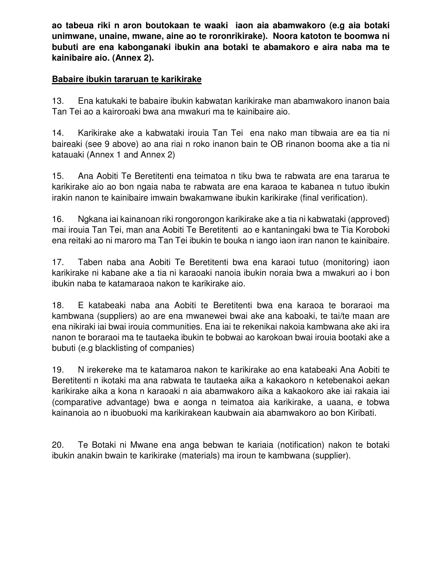**ao tabeua riki n aron boutokaan te waaki iaon aia abamwakoro (e.g aia botaki unimwane, unaine, mwane, aine ao te roronrikirake). Noora katoton te boomwa ni bubuti are ena kabonganaki ibukin ana botaki te abamakoro e aira naba ma te kainibaire aio. (Annex 2).** 

### **Babaire ibukin tararuan te karikirake**

13. Ena katukaki te babaire ibukin kabwatan karikirake man abamwakoro inanon baia Tan Tei ao a kairoroaki bwa ana mwakuri ma te kainibaire aio.

14. Karikirake ake a kabwataki irouia Tan Tei ena nako man tibwaia are ea tia ni baireaki (see 9 above) ao ana riai n roko inanon bain te OB rinanon booma ake a tia ni katauaki (Annex 1 and Annex 2)

15. Ana Aobiti Te Beretitenti ena teimatoa n tiku bwa te rabwata are ena tararua te karikirake aio ao bon ngaia naba te rabwata are ena karaoa te kabanea n tutuo ibukin irakin nanon te kainibaire imwain bwakamwane ibukin karikirake (final verification).

16. Ngkana iai kainanoan riki rongorongon karikirake ake a tia ni kabwataki (approved) mai irouia Tan Tei, man ana Aobiti Te Beretitenti ao e kantaningaki bwa te Tia Koroboki ena reitaki ao ni maroro ma Tan Tei ibukin te bouka n iango iaon iran nanon te kainibaire.

17. Taben naba ana Aobiti Te Beretitenti bwa ena karaoi tutuo (monitoring) iaon karikirake ni kabane ake a tia ni karaoaki nanoia ibukin noraia bwa a mwakuri ao i bon ibukin naba te katamaraoa nakon te karikirake aio.

18. E katabeaki naba ana Aobiti te Beretitenti bwa ena karaoa te boraraoi ma kambwana (suppliers) ao are ena mwanewei bwai ake ana kaboaki, te tai/te maan are ena nikiraki iai bwai irouia communities. Ena iai te rekenikai nakoia kambwana ake aki ira nanon te boraraoi ma te tautaeka ibukin te bobwai ao karokoan bwai irouia bootaki ake a bubuti (e.g blacklisting of companies)

19. N irekereke ma te katamaroa nakon te karikirake ao ena katabeaki Ana Aobiti te Beretitenti n ikotaki ma ana rabwata te tautaeka aika a kakaokoro n ketebenakoi aekan karikirake aika a kona n karaoaki n aia abamwakoro aika a kakaokoro ake iai rakaia iai (comparative advantage) bwa e aonga n teimatoa aia karikirake, a uaana, e tobwa kainanoia ao n ibuobuoki ma karikirakean kaubwain aia abamwakoro ao bon Kiribati.

20. Te Botaki ni Mwane ena anga bebwan te kariaia (notification) nakon te botaki ibukin anakin bwain te karikirake (materials) ma iroun te kambwana (supplier).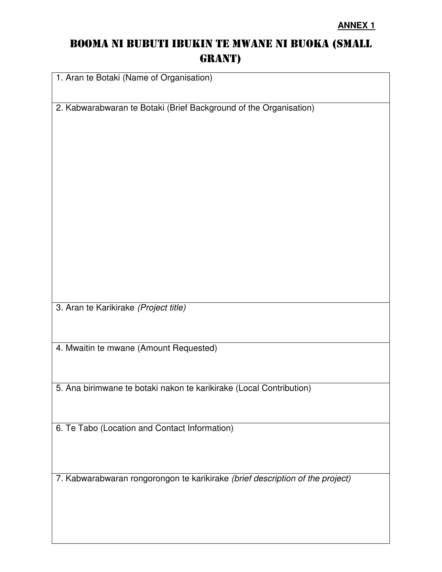## BOOMA NI BUBUTI IBUKIN TE MWANE NI BUOKA (SMALL GRANT)

1. Aran te Botaki (Name of Organisation) 2. Kabwarabwaran te Botaki (Brief Background of the Organisation) 3. Aran te Karikirake (Project title) 4. Mwaitin te mwane (Amount Requested) 5. Ana birimwane te botaki nakon te karikirake (Local Contribution) 6. Te Tabo (Location and Contact Information)

7. Kabwarabwaran rongorongon te karikirake (brief description of the project)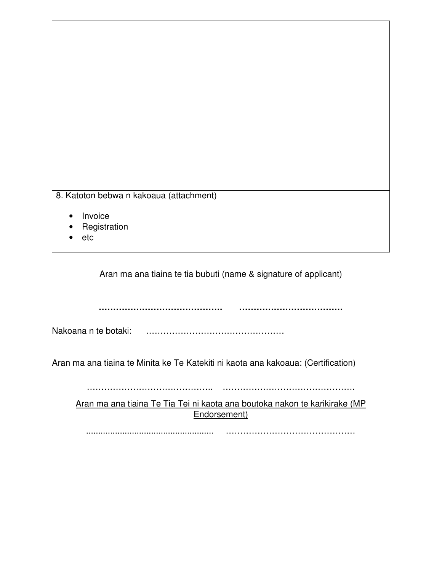| 8. Katoton bebwa n kakoaua (attachment) |  |
|-----------------------------------------|--|
|-----------------------------------------|--|

- **Invoice**
- **Registration**
- etc

Aran ma ana tiaina te tia bubuti (name & signature of applicant)

**……………………………………. ………………………………** 

Nakoana n te botaki: ……………………………………………………

Aran ma ana tiaina te Minita ke Te Katekiti ni kaota ana kakoaua: (Certification)

…………………………………….. ……………………………………….

Aran ma ana tiaina Te Tia Tei ni kaota ana boutoka nakon te karikirake (MP Endorsement)

..................................................... ………………………………………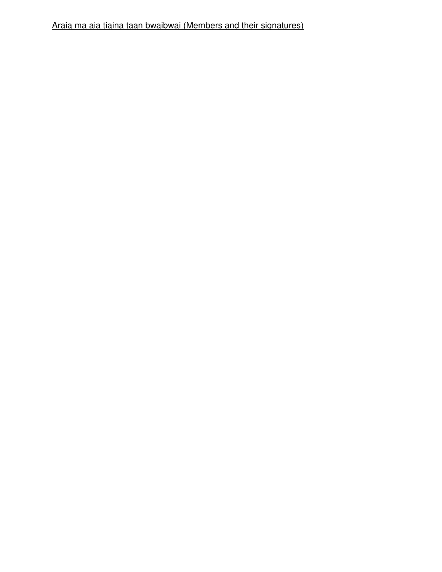Araia ma aia tiaina taan bwaibwai (Members and their signatures)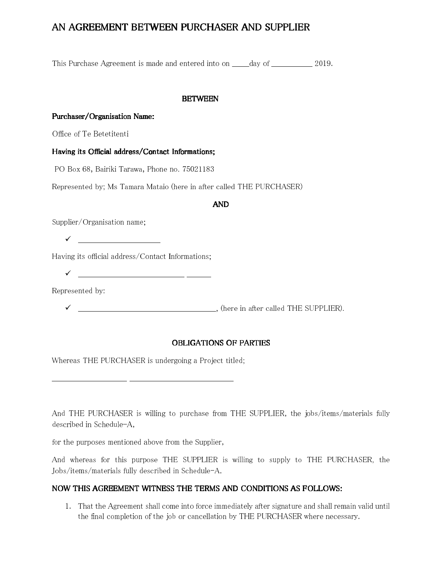### AN AGREEMENT BETWEEN PURCHASER AND SUPPLIER

This Purchase Agreement is made and entered into on \_\_\_\_\_\_\_day of \_\_\_\_\_\_\_\_\_\_\_\_\_\_\_\_\_ 2019.

#### BETWEEN

#### Purchaser/Organisation Name:

Office of Te Betetitenti

#### Having its Official address/Contact Informations;

PO Box 68, Bairiki Tarawa, Phone no. 75021183

Represented by; Ms Tamara Mataio (here in after called THE PURCHASER)

#### AND

Supplier/Organisation name;

 $\checkmark$ 

Having its official address/Contact Informations;

\_\_\_\_\_\_\_\_\_\_\_\_\_\_\_\_\_\_\_\_\_\_\_\_\_\_\_\_\_\_\_\_\_\_\_\_\_\_\_\_\_\_\_\_ \_\_\_\_\_\_\_\_\_\_

Represented by:

\_\_\_\_\_\_\_\_\_\_\_\_\_\_\_\_\_\_\_\_\_\_\_\_\_\_\_\_\_\_\_\_\_\_\_\_\_\_\_\_\_\_\_\_\_\_\_\_\_\_\_\_\_\_\_\_\_, (here in after called THE SUPPLIER).

#### OBLIGATIONS OF PARTIES

Whereas THE PURCHASER is undergoing a Project titled;

And THE PURCHASER is willing to purchase from THE SUPPLIER, the jobs/items/materials fully described in Schedule-A,

for the purposes mentioned above from the Supplier,

And whereas for this purpose THE SUPPLIER is willing to supply to THE PURCHASER, the Jobs/items/materials fully described in Schedule-A.

#### NOW THIS AGREEMENT WITNESS THE TERMS AND CONDITIONS AS FOLLOWS:

1. That the Agreement shall come into force immediately after signature and shall remain valid until the final completion of the job or cancellation by THE PURCHASER where necessary.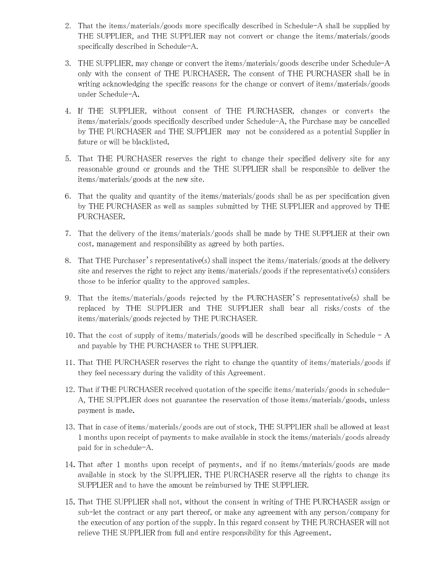- 2. That the items/materials/goods more specifically described in Schedule-A shall be supplied by THE SUPPLIER, and THE SUPPLIER may not convert or change the items/materials/goods specifically described in Schedule-A.
- 3. THE SUPPLIER, may change or convert the items/materials/goods describe under Schedule-A only with the consent of THE PURCHASER. The consent of THE PURCHASER shall be in writing acknowledging the specific reasons for the change or convert of items/materials/goods under Schedule-A.
- 4. If THE SUPPLIER, without consent of THE PURCHASER, changes or converts the items/materials/goods specifically described under Schedule-A, the Purchase may be cancelled by THE PURCHASER and THE SUPPLIER may not be considered as a potential Supplier in future or will be blacklisted.
- 5. That THE PURCHASER reserves the right to change their specified delivery site for any reasonable ground or grounds and the THE SUPPLIER shall be responsible to deliver the items/materials/goods at the new site.
- 6. That the quality and quantity of the items/materials/goods shall be as per specification given by THE PURCHASER as well as samples submitted by THE SUPPLIER and approved by THE PURCHASER.
- 7. That the delivery of the items/materials/goods shall be made by THE SUPPLIER at their own cost, management and responsibility as agreed by both parties.
- 8. That THE Purchaser's representative(s) shall inspect the items/materials/goods at the delivery site and reserves the right to reject any items/materials/goods if the representative(s) considers those to be inferior quality to the approved samples.
- 9. That the items/materials/goods rejected by the PURCHASER'S representative(s) shall be replaced by THE SUPPLIER and THE SUPPLIER shall bear all risks/costs of the items/materials/goods rejected by THE PURCHASER.
- 10. That the cost of supply of items/materials/goods will be described specifically in Schedule A and payable by THE PURCHASER to THE SUPPLIER.
- 11. That THE PURCHASER reserves the right to change the quantity of items/materials/goods if they feel necessary during the validity of this Agreement.
- 12. That if THE PURCHASER received quotation of the specific items/materials/goods in schedule-A, THE SUPPLIER does not guarantee the reservation of those items/materials/goods, unless payment is made.
- 13. That in case of items/materials/goods are out of stock, THE SUPPLIER shall be allowed at least 1 months upon receipt of payments to make available in stock the items/materials/goods already paid for in schedule-A.
- 14. That after 1 months upon receipt of payments, and if no items/materials/goods are made available in stock by the SUPPLIER, THE PURCHASER reserve all the rights to change its SUPPLIER and to have the amount be reimbursed by THE SUPPLIER.
- 15. That THE SUPPLIER shall not, without the consent in writing of THE PURCHASER assign or sub-let the contract or any part thereof, or make any agreement with any person/company for the execution of any portion of the supply. In this regard consent by THE PURCHASER will not relieve THE SUPPLIER from full and entire responsibility for this Agreement.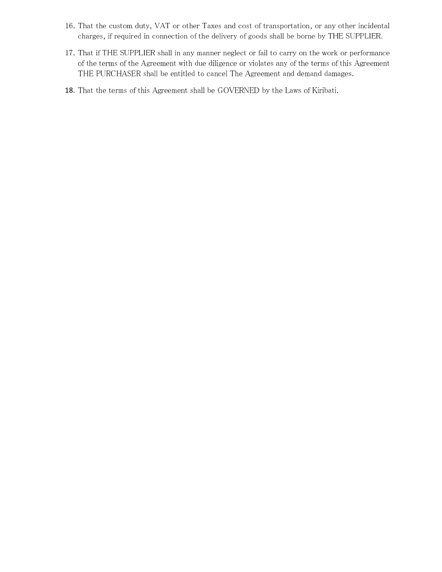- 16. That the custom duty, VAT or other Taxes and cost of transportation, or any other incidental charges, if required in connection of the delivery of goods shall be borne by THE SUPPLIER.
- 17. That if THE SUPPLIER shall in any manner neglect or fail to carry on the work or performance of the terms of the Agreement with due diligence or violates any of the terms of this Agreement THE PURCHASER shall be entitled to cancel The Agreement and demand damages.
- 18. That the terms of this Agreement shall be GOVERNED by the Laws of Kiribati.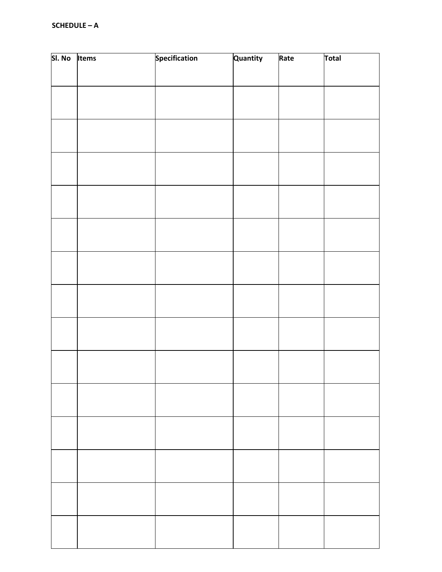| SI. No Items | <b>Specification</b> | Quantity | Rate | Total |
|--------------|----------------------|----------|------|-------|
|              |                      |          |      |       |
|              |                      |          |      |       |
|              |                      |          |      |       |
|              |                      |          |      |       |
|              |                      |          |      |       |
|              |                      |          |      |       |
|              |                      |          |      |       |
|              |                      |          |      |       |
|              |                      |          |      |       |
|              |                      |          |      |       |
|              |                      |          |      |       |
|              |                      |          |      |       |
|              |                      |          |      |       |
|              |                      |          |      |       |
|              |                      |          |      |       |
|              |                      |          |      |       |
|              |                      |          |      |       |
|              |                      |          |      |       |
|              |                      |          |      |       |
|              |                      |          |      |       |
|              |                      |          |      |       |
|              |                      |          |      |       |
|              |                      |          |      |       |
|              |                      |          |      |       |
|              |                      |          |      |       |
|              |                      |          |      |       |
|              |                      |          |      |       |
|              |                      |          |      |       |
|              |                      |          |      |       |
|              |                      |          |      |       |
|              |                      |          |      |       |
|              |                      |          |      |       |
|              |                      |          |      |       |
|              |                      |          |      |       |
|              |                      |          |      |       |
|              |                      |          |      |       |
|              |                      |          |      |       |
|              |                      |          |      |       |
|              |                      |          |      |       |
|              |                      |          |      |       |